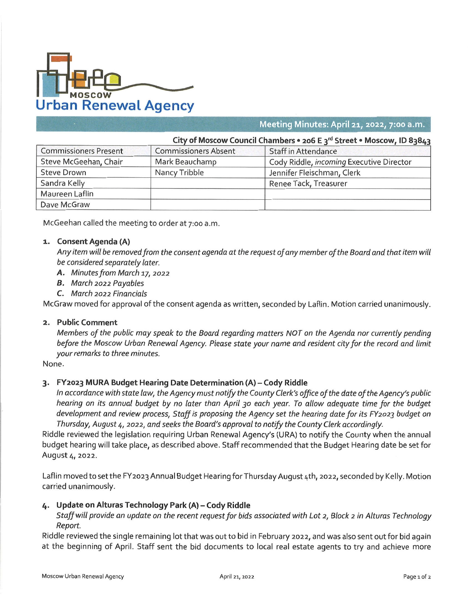

# *. mm* **Meeting Minutes: April 21, 2022, 7:00 a.m.**

|                              |                             | City of Moscow Council Chambers • 206 E 3 <sup>rd</sup> Street • Moscow, ID 83843 |  |
|------------------------------|-----------------------------|-----------------------------------------------------------------------------------|--|
| <b>Commissioners Present</b> | <b>Commissioners Absent</b> | Staff in Attendance                                                               |  |
| Steve McGeehan, Chair        | Mark Beauchamp              | Cody Riddle, incoming Executive Director                                          |  |
| Steve Drown                  | Nancy Tribble               | Jennifer Fleischman, Clerk                                                        |  |
| Sandra Kelly                 |                             | Renee Tack, Treasurer                                                             |  |

McGeehan called the meeting to order at 7:00 a.m.

#### **1. Consent Agenda (A)**

Maureen Laflin Dave McGraw

> Any item will be removed from the consent agenda at the request of any member of the Board and that item will *be considered separately later.*

- *A. Minutes from March* **17,** *2022*
- *B. March 2022 Payables*
- *C. March 2022 Financials*

McGraw moved for approval of the consent agenda as written, seconded by Laflin. Motion carried unanimously.

#### **2. Public Comment**

Members of the public may speak to the Board regarding matters NOT on the Agenda nor currently pending before the Moscow Urban Renewal Agency. Please state your name and resident city for the record and limit *your remarks to three minutes.*

None.

## **3. FY2023 MURA Budget Hearing Date Determination (A) - Cody Riddle**

In accordance with state law, the Agency must notify the County Clerk's office of the date of the Agency's public hearing on its annual budget by no later than April 30 each year. To allow adeguate time for the budget development and review process, Staff is proposing the Agency set the hearing date for its FY2023 budget on *Thursday, August* **4,** *2022, and seeks the Board's approval to notify the County Clerk accordingly.*

Riddle reviewed the legislation requiring Urban Renewal Agency's (URA) to notify the County when the annual budget hearing will take place, as described above. Staff recommended that the Budget Hearing date be set for August 4, 2022.

Laflin moved to set the FY2023 Annual Budget Hearing forThursday August 4th, 2022, seconded by Kelly. Motion carried unanimously.

## *if.* **Update on Alturas Technology Park (A) - Cody Riddle**

Staff will provide an update on the recent request for bids associated with Lot 2, Block 2 in Alturas Technology *Report.*

Riddle reviewed the single remaining lot that was out to bid in February 2022, and was also sent out for bid again at the beginning of April. Staff sent the bid documents to local real estate agents to try and achieve more